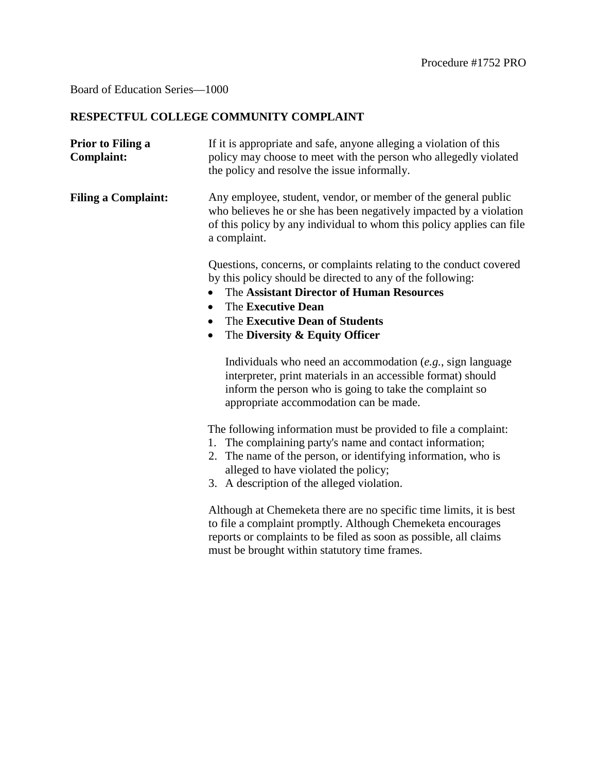## Board of Education Series—1000

## **RESPECTFUL COLLEGE COMMUNITY COMPLAINT**

| Prior to Filing a<br><b>Complaint:</b> | If it is appropriate and safe, anyone alleging a violation of this<br>policy may choose to meet with the person who allegedly violated<br>the policy and resolve the issue informally.                                                                                               |
|----------------------------------------|--------------------------------------------------------------------------------------------------------------------------------------------------------------------------------------------------------------------------------------------------------------------------------------|
| <b>Filing a Complaint:</b>             | Any employee, student, vendor, or member of the general public<br>who believes he or she has been negatively impacted by a violation<br>of this policy by any individual to whom this policy applies can file<br>a complaint.                                                        |
|                                        | Questions, concerns, or complaints relating to the conduct covered<br>by this policy should be directed to any of the following:<br>The Assistant Director of Human Resources<br>The Executive Dean<br>The Executive Dean of Students<br>The Diversity & Equity Officer<br>$\bullet$ |
|                                        | Individuals who need an accommodation $(e.g.,$ sign language<br>interpreter, print materials in an accessible format) should<br>inform the person who is going to take the complaint so<br>appropriate accommodation can be made.                                                    |
|                                        | The following information must be provided to file a complaint:<br>1. The complaining party's name and contact information;<br>2. The name of the person, or identifying information, who is<br>alleged to have violated the policy;<br>3. A description of the alleged violation.   |
|                                        | Although at Chemeketa there are no specific time limits, it is best<br>to file a complaint promptly. Although Chemeketa encourages<br>reports or complaints to be filed as soon as possible, all claims                                                                              |

must be brought within statutory time frames.